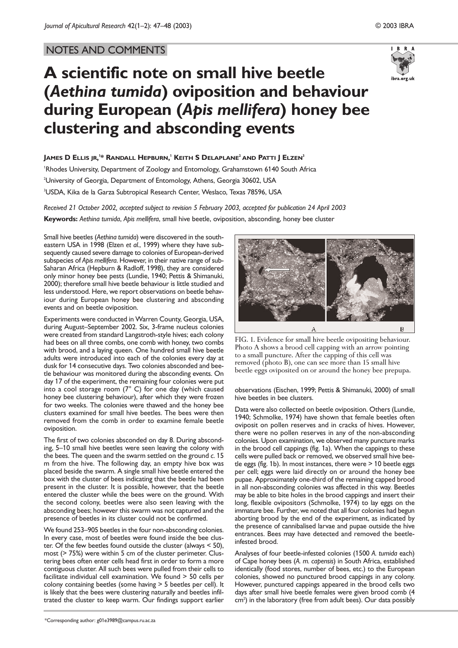## NOTES AND COMMENTS



# **A scientific note on small hive beetle (***Aethina tumida***) oviposition and behaviour during European (***Apis mellifera***) honey bee clustering and absconding events**

### **JAMES D ELLIS JR, 1 \* RANDALL HEPBURN, <sup>1</sup> KEITH S DELAPLANE2 AND PATTI J ELZEN3**

'Rhodes University, Department of Zoology and Entomology, Grahamstown 6140 South Africa  $^{\rm 2}$ University of Georgia, Department of Entomology, Athens, Georgia 30602, USA 3 USDA, Kika de la Garza Subtropical Research Center, Weslaco, Texas 78596, USA

*Received 21 October 2002, accepted subject to revision 5 February 2003, accepted for publication 24 April 2003* **Keywords:** *Aethina tumida*, *Apis mellifera*, small hive beetle, oviposition, absconding, honey bee cluster

Small hive beetles (*Aethina tumida*) were discovered in the southeastern USA in 1998 (Elzen *et al.*, 1999) where they have subsequently caused severe damage to colonies of European-derived subspecies of *Apis mellifera*. However, in their native range of sub-Saharan Africa (Hepburn & Radloff, 1998), they are considered only minor honey bee pests (Lundie, 1940; Pettis & Shimanuki, 2000); therefore small hive beetle behaviour is little studied and less understood. Here, we report observations on beetle behaviour during European honey bee clustering and absconding events and on beetle oviposition.

Experiments were conducted in Warren County, Georgia, USA, during August–September 2002. Six, 3-frame nucleus colonies were created from standard Langstroth-style hives; each colony had bees on all three combs, one comb with honey, two combs with brood, and a laying queen. One hundred small hive beetle adults were introduced into each of the colonies every day at dusk for 14 consecutive days. Two colonies absconded and beetle behaviour was monitored during the absconding events. On day 17 of the experiment, the remaining four colonies were put into a cool storage room (7° C) for one day (which caused honey bee clustering behaviour), after which they were frozen for two weeks. The colonies were thawed and the honey bee clusters examined for small hive beetles. The bees were then removed from the comb in order to examine female beetle oviposition.

The first of two colonies absconded on day 8. During absconding, 5–10 small hive beetles were seen leaving the colony with the bees. The queen and the swarm settled on the ground *c*. 15 m from the hive. The following day, an empty hive box was placed beside the swarm. A single small hive beetle entered the box with the cluster of bees indicating that the beetle had been present in the cluster. It is possible, however, that the beetle entered the cluster while the bees were on the ground. With the second colony, beetles were also seen leaving with the absconding bees; however this swarm was not captured and the presence of beetles in its cluster could not be confirmed.

We found 253–905 beetles in the four non-absconding colonies. In every case, most of beetles were found inside the bee cluster. Of the few beetles found outside the cluster (always < 50), most (> 75%) were within 5 cm of the cluster perimeter. Clustering bees often enter cells head first in order to form a more contiguous cluster. All such bees were pulled from their cells to facilitate individual cell examination. We found > 50 cells per colony containing beetles (some having > 5 beetles per cell). It is likely that the bees were clustering naturally and beetles infiltrated the cluster to keep warm. Our findings support earlier





observations (Eischen, 1999; Pettis & Shimanuki, 2000) of small hive beetles in bee clusters.

Data were also collected on beetle oviposition. Others (Lundie, 1940; Schmolke, 1974) have shown that female beetles often oviposit on pollen reserves and in cracks of hives. However, there were no pollen reserves in any of the non-absconding colonies. Upon examination, we observed many puncture marks in the brood cell cappings (fig. 1a). When the cappings to these cells were pulled back or removed, we observed small hive beetle eggs (fig. 1b). In most instances, there were > 10 beetle eggs per cell; eggs were laid directly on or around the honey bee pupae. Approximately one-third of the remaining capped brood in all non-absconding colonies was affected in this way. Beetles may be able to bite holes in the brood cappings and insert their long, flexible ovipositors (Schmolke, 1974) to lay eggs on the immature bee. Further, we noted that all four colonies had begun aborting brood by the end of the experiment, as indicated by the presence of cannibalised larvae and pupae outside the hive entrances. Bees may have detected and removed the beetleinfested brood.

Analyses of four beetle-infested colonies (1500 *A. tumida* each) of Cape honey bees (*A. m. capensis*) in South Africa, established identically (food stores, number of bees, etc.) to the European colonies, showed no punctured brood cappings in any colony. However, punctured cappings appeared in the brood cells two days after small hive beetle females were given brood comb (4 cm<sup>2</sup>) in the laboratory (free from adult bees). Our data possibly